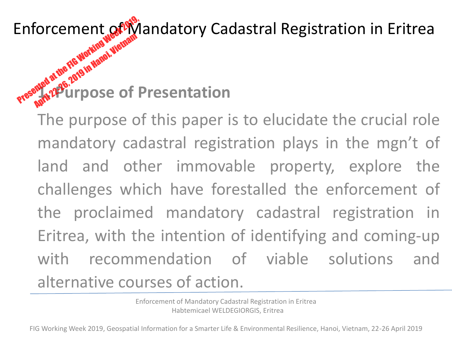Enforcement of Wandatory Cadastral Registration in Eritrea

# **1. Purpose of Presentation** Enforcement of PAYS **April 22-26, 2019 in Hanoi, Vietnam**<br>Apple 21 de de 2019 in Hanoi, Vietnam<br>April 22-26, 2019 in Hanoi, Vietnam

The purpose of this paper is to elucidate the crucial role mandatory cadastral registration plays in the mgn't of land and other immovable property, explore the challenges which have forestalled the enforcement of the proclaimed mandatory cadastral registration in Eritrea, with the intention of identifying and coming-up with recommendation of viable solutions and alternative courses of action.

> Enforcement of Mandatory Cadastral Registration in Eritrea Habtemicael WELDEGIORGIS, Eritrea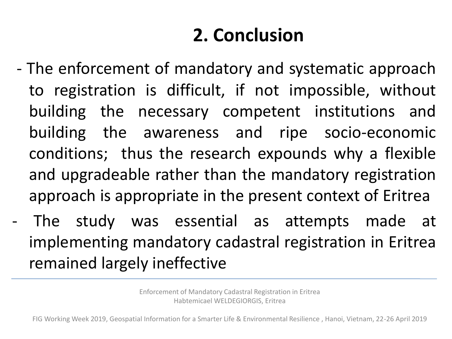## **2. Conclusion**

- The enforcement of mandatory and systematic approach to registration is difficult, if not impossible, without building the necessary competent institutions and building the awareness and ripe socio-economic conditions; thus the research expounds why a flexible and upgradeable rather than the mandatory registration approach is appropriate in the present context of Eritrea
- The study was essential as attempts made at implementing mandatory cadastral registration in Eritrea remained largely ineffective

Enforcement of Mandatory Cadastral Registration in Eritrea Habtemicael WELDEGIORGIS, Eritrea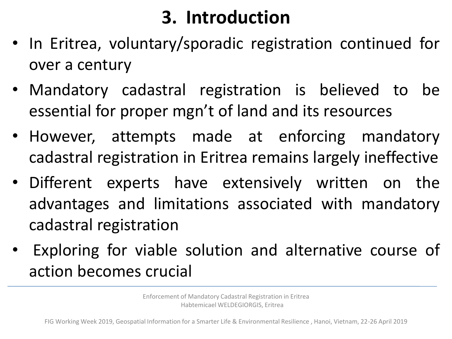## **3. Introduction**

- In Eritrea, voluntary/sporadic registration continued for over a century
- Mandatory cadastral registration is believed to be essential for proper mgn't of land and its resources
- However, attempts made at enforcing mandatory cadastral registration in Eritrea remains largely ineffective
- Different experts have extensively written on the advantages and limitations associated with mandatory cadastral registration
- Exploring for viable solution and alternative course of action becomes crucial

Enforcement of Mandatory Cadastral Registration in Eritrea Habtemicael WELDEGIORGIS, Eritrea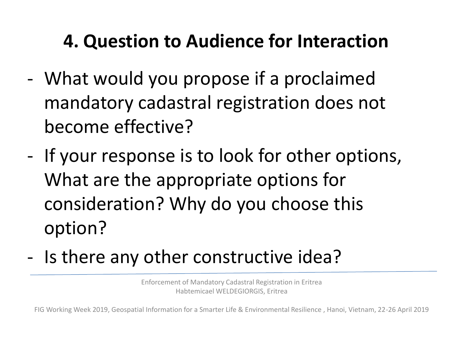### **4. Question to Audience for Interaction**

- What would you propose if a proclaimed mandatory cadastral registration does not become effective?
- If your response is to look for other options, What are the appropriate options for consideration? Why do you choose this option?
- Is there any other constructive idea?

Enforcement of Mandatory Cadastral Registration in Eritrea Habtemicael WELDEGIORGIS, Eritrea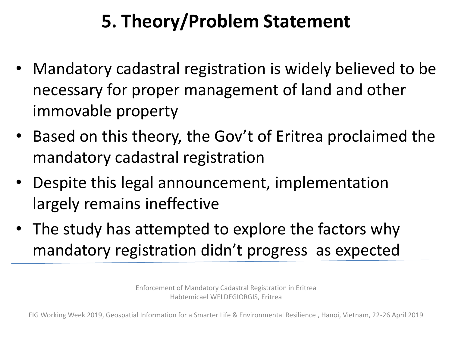## **5. Theory/Problem Statement**

- Mandatory cadastral registration is widely believed to be necessary for proper management of land and other immovable property
- Based on this theory, the Gov't of Eritrea proclaimed the mandatory cadastral registration
- Despite this legal announcement, implementation largely remains ineffective
- The study has attempted to explore the factors why mandatory registration didn't progress as expected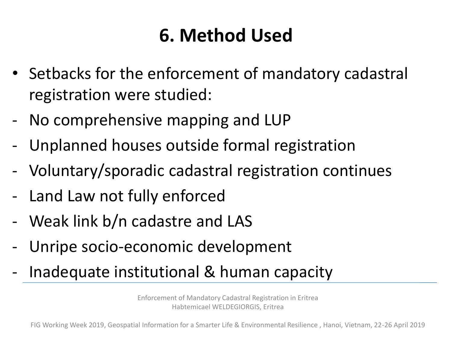### **6. Method Used**

- Setbacks for the enforcement of mandatory cadastral registration were studied:
- No comprehensive mapping and LUP
- Unplanned houses outside formal registration
- Voluntary/sporadic cadastral registration continues
- Land Law not fully enforced
- Weak link b/n cadastre and LAS
- Unripe socio-economic development
- Inadequate institutional & human capacity

Enforcement of Mandatory Cadastral Registration in Eritrea Habtemicael WELDEGIORGIS, Eritrea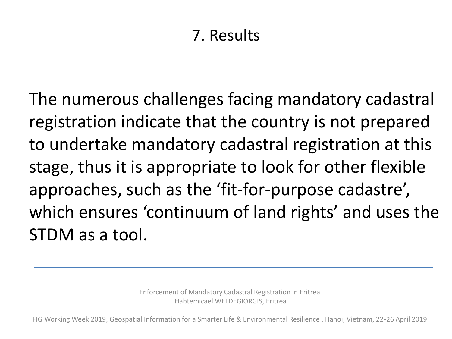#### 7. Results

The numerous challenges facing mandatory cadastral registration indicate that the country is not prepared to undertake mandatory cadastral registration at this stage, thus it is appropriate to look for other flexible approaches, such as the 'fit-for-purpose cadastre', which ensures 'continuum of land rights' and uses the STDM as a tool.

> Enforcement of Mandatory Cadastral Registration in Eritrea Habtemicael WELDEGIORGIS, Eritrea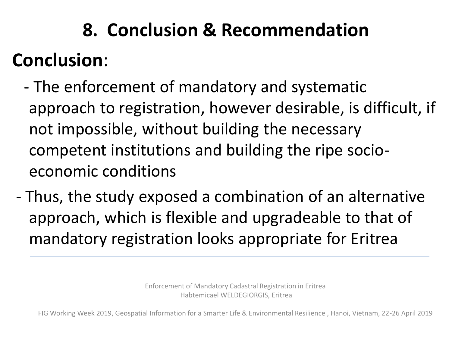## **8. Conclusion & Recommendation**

## **Conclusion**:

- The enforcement of mandatory and systematic approach to registration, however desirable, is difficult, if not impossible, without building the necessary competent institutions and building the ripe socioeconomic conditions
- Thus, the study exposed a combination of an alternative approach, which is flexible and upgradeable to that of mandatory registration looks appropriate for Eritrea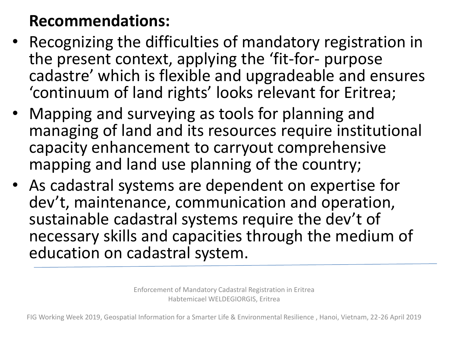#### **Recommendations:**

- Recognizing the difficulties of mandatory registration in the present context, applying the 'fit-for- purpose cadastre' which is flexible and upgradeable and ensures 'continuum of land rights' looks relevant for Eritrea;
- Mapping and surveying as tools for planning and managing of land and its resources require institutional capacity enhancement to carryout comprehensive mapping and land use planning of the country;
- As cadastral systems are dependent on expertise for dev't, maintenance, communication and operation, sustainable cadastral systems require the dev't of necessary skills and capacities through the medium of education on cadastral system.

Enforcement of Mandatory Cadastral Registration in Eritrea Habtemicael WELDEGIORGIS, Eritrea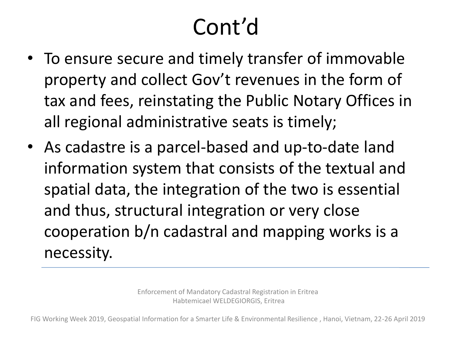## Cont'd

- To ensure secure and timely transfer of immovable property and collect Gov't revenues in the form of tax and fees, reinstating the Public Notary Offices in all regional administrative seats is timely;
- As cadastre is a parcel-based and up-to-date land information system that consists of the textual and spatial data, the integration of the two is essential and thus, structural integration or very close cooperation b/n cadastral and mapping works is a necessity.